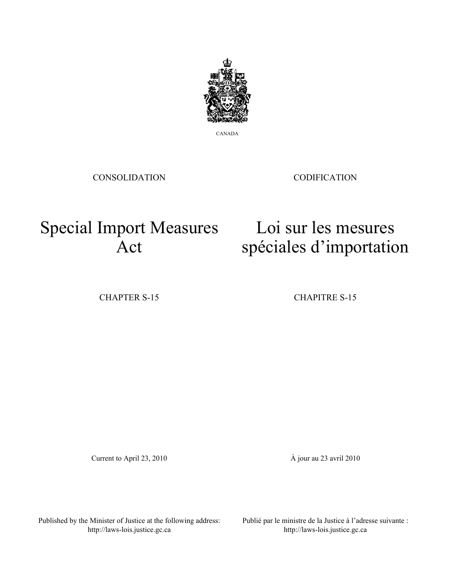

CANADA

CONSOLIDATION

CODIFICATION

Loi sur les mesures

spéciales d'importation

## Special Import Measures Act

CHAPTER S-15 CHAPITRE S-15

Current to April 23, 2010 À jour au 23 avril 2010

Published by the Minister of Justice at the following address: http://laws-lois.justice.gc.ca

Publié par le ministre de la Justice à l'adresse suivante : http://laws-lois.justice.gc.ca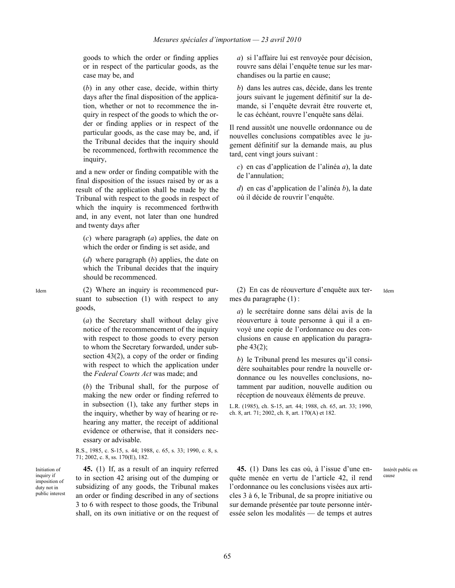goods to which the order or finding applies or in respect of the particular goods, as the case may be, and

(*b*) in any other case, decide, within thirty days after the final disposition of the application, whether or not to recommence the inquiry in respect of the goods to which the order or finding applies or in respect of the particular goods, as the case may be, and, if the Tribunal decides that the inquiry should be recommenced, forthwith recommence the inquiry,

and a new order or finding compatible with the final disposition of the issues raised by or as a result of the application shall be made by the Tribunal with respect to the goods in respect of which the inquiry is recommenced forthwith and, in any event, not later than one hundred and twenty days after

(*c*) where paragraph (*a*) applies, the date on which the order or finding is set aside, and

(*d*) where paragraph (*b*) applies, the date on which the Tribunal decides that the inquiry should be recommenced.

Idem (2) Where an inquiry is recommenced pursuant to subsection (1) with respect to any goods,

> (*a*) the Secretary shall without delay give notice of the recommencement of the inquiry with respect to those goods to every person to whom the Secretary forwarded, under subsection 43(2), a copy of the order or finding with respect to which the application under the *Federal Courts Act* was made; and

> (*b*) the Tribunal shall, for the purpose of making the new order or finding referred to in subsection (1), take any further steps in the inquiry, whether by way of hearing or rehearing any matter, the receipt of additional evidence or otherwise, that it considers necessary or advisable.

R.S., 1985, c. S-15, s. 44; 1988, c. 65, s. 33; 1990, c. 8, s. 71; 2002, c. 8, ss. 170(E), 182.

Initiation of inquiry if imposition of duty not in public interest

**45.** (1) If, as a result of an inquiry referred to in section 42 arising out of the dumping or subsidizing of any goods, the Tribunal makes an order or finding described in any of sections 3 to 6 with respect to those goods, the Tribunal shall, on its own initiative or on the request of *a*) si l'affaire lui est renvoyée pour décision, rouvre sans délai l'enquête tenue sur les marchandises ou la partie en cause;

*b*) dans les autres cas, décide, dans les trente jours suivant le jugement définitif sur la demande, si l'enquête devrait être rouverte et, le cas échéant, rouvre l'enquête sans délai.

Il rend aussitôt une nouvelle ordonnance ou de nouvelles conclusions compatibles avec le jugement définitif sur la demande mais, au plus tard, cent vingt jours suivant :

*c*) en cas d'application de l'alinéa *a*), la date de l'annulation;

*d*) en cas d'application de l'alinéa *b*), la date où il décide de rouvrir l'enquête.

(2) En cas de réouverture d'enquête aux termes du paragraphe (1) : Idem

*a*) le secrétaire donne sans délai avis de la réouverture à toute personne à qui il a envoyé une copie de l'ordonnance ou des conclusions en cause en application du paragraphe 43(2);

*b*) le Tribunal prend les mesures qu'il considère souhaitables pour rendre la nouvelle ordonnance ou les nouvelles conclusions, notamment par audition, nouvelle audition ou réception de nouveaux éléments de preuve.

L.R. (1985), ch. S-15, art. 44; 1988, ch. 65, art. 33; 1990, ch. 8, art. 71; 2002, ch. 8, art. 170(A) et 182.

**45.** (1) Dans les cas où, à l'issue d'une enquête menée en vertu de l'article 42, il rend l'ordonnance ou les conclusions visées aux articles 3 à 6, le Tribunal, de sa propre initiative ou sur demande présentée par toute personne intéressée selon les modalités — de temps et autres

Intérêt public en cause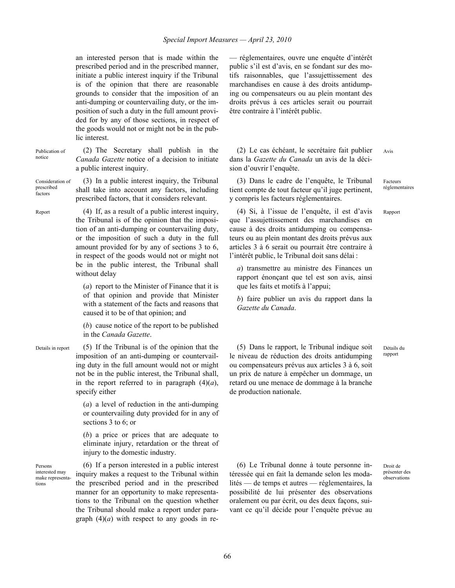an interested person that is made within the prescribed period and in the prescribed manner, initiate a public interest inquiry if the Tribunal is of the opinion that there are reasonable grounds to consider that the imposition of an anti-dumping or countervailing duty, or the imposition of such a duty in the full amount provided for by any of those sections, in respect of the goods would not or might not be in the public interest.

Publication of notice

(2) The Secretary shall publish in the *Canada Gazette* notice of a decision to initiate a public interest inquiry.

Consideration of prescribed factors

(3) In a public interest inquiry, the Tribunal shall take into account any factors, including prescribed factors, that it considers relevant.

Report (4) If, as a result of a public interest inquiry, the Tribunal is of the opinion that the imposition of an anti-dumping or countervailing duty, or the imposition of such a duty in the full amount provided for by any of sections 3 to 6, in respect of the goods would not or might not be in the public interest, the Tribunal shall without delay

> (*a*) report to the Minister of Finance that it is of that opinion and provide that Minister with a statement of the facts and reasons that caused it to be of that opinion; and

> (*b*) cause notice of the report to be published in the *Canada Gazette*.

Details in report (5) If the Tribunal is of the opinion that the imposition of an anti-dumping or countervailing duty in the full amount would not or might not be in the public interest, the Tribunal shall, in the report referred to in paragraph  $(4)(a)$ , specify either

> (*a*) a level of reduction in the anti-dumping or countervailing duty provided for in any of sections 3 to 6; or

> (*b*) a price or prices that are adequate to eliminate injury, retardation or the threat of injury to the domestic industry.

Persons interested may make representations

(6) If a person interested in a public interest inquiry makes a request to the Tribunal within the prescribed period and in the prescribed manner for an opportunity to make representations to the Tribunal on the question whether the Tribunal should make a report under paragraph  $(4)(a)$  with respect to any goods in re— réglementaires, ouvre une enquête d'intérêt public s'il est d'avis, en se fondant sur des motifs raisonnables, que l'assujettissement des marchandises en cause à des droits antidumping ou compensateurs ou au plein montant des droits prévus à ces articles serait ou pourrait être contraire à l'intérêt public.

(2) Le cas échéant, le secrétaire fait publier dans la *Gazette du Canada* un avis de la décision d'ouvrir l'enquête.

(3) Dans le cadre de l'enquête, le Tribunal tient compte de tout facteur qu'il juge pertinent, y compris les facteurs réglementaires.

(4) Si, à l'issue de l'enquête, il est d'avis que l'assujettissement des marchandises en cause à des droits antidumping ou compensateurs ou au plein montant des droits prévus aux articles 3 à 6 serait ou pourrait être contraire à l'intérêt public, le Tribunal doit sans délai :

*a*) transmettre au ministre des Finances un rapport énonçant que tel est son avis, ainsi que les faits et motifs à l'appui;

*b*) faire publier un avis du rapport dans la *Gazette du Canada*.

(5) Dans le rapport, le Tribunal indique soit le niveau de réduction des droits antidumping ou compensateurs prévus aux articles 3 à 6, soit un prix de nature à empêcher un dommage, un retard ou une menace de dommage à la branche de production nationale.

Détails du rapport

(6) Le Tribunal donne à toute personne intéressée qui en fait la demande selon les modalités — de temps et autres — réglementaires, la possibilité de lui présenter des observations oralement ou par écrit, ou des deux façons, suivant ce qu'il décide pour l'enquête prévue au

Droit de présenter des .<br>observations

66

Avis

Facteurs réglementaires

Rapport